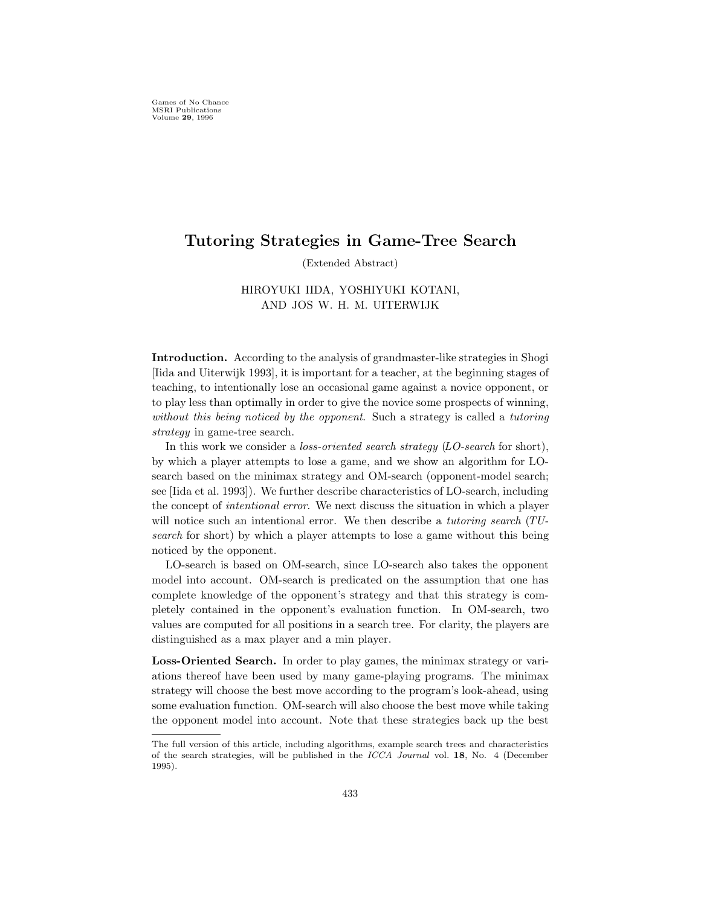## **Tutoring Strategies in Game-Tree Search**

(Extended Abstract)

HIROYUKI IIDA, YOSHIYUKI KOTANI, AND JOS W. H. M. UITERWIJK

Introduction. According to the analysis of grandmaster-like strategies in Shogi [Iida and Uiterwijk 1993], it is important for a teacher, at the beginning stages of teaching, to intentionally lose an occasional game against a novice opponent, or to play less than optimally in order to give the novice some prospects of winning, *without this being noticed by the opponent*. Such a strategy is called a *tutoring strategy* in game-tree search.

In this work we consider a *loss-oriented search strategy* (*LO-search* for short), by which a player attempts to lose a game, and we show an algorithm for LOsearch based on the minimax strategy and OM-search (opponent-model search; see [Iida et al. 1993]). We further describe characteristics of LO-search, including the concept of *intentional error*. We next discuss the situation in which a player will notice such an intentional error. We then describe a *tutoring search* (*TUsearch* for short) by which a player attempts to lose a game without this being noticed by the opponent.

LO-search is based on OM-search, since LO-search also takes the opponent model into account. OM-search is predicated on the assumption that one has complete knowledge of the opponent's strategy and that this strategy is completely contained in the opponent's evaluation function. In OM-search, two values are computed for all positions in a search tree. For clarity, the players are distinguished as a max player and a min player.

**Loss-Oriented Search.** In order to play games, the minimax strategy or variations thereof have been used by many game-playing programs. The minimax strategy will choose the best move according to the program's look-ahead, using some evaluation function. OM-search will also choose the best move while taking the opponent model into account. Note that these strategies back up the best

The full version of this article, including algorithms, example search trees and characteristics of the search strategies, will be published in the ICCA Journal vol. **18**, No. 4 (December 1995).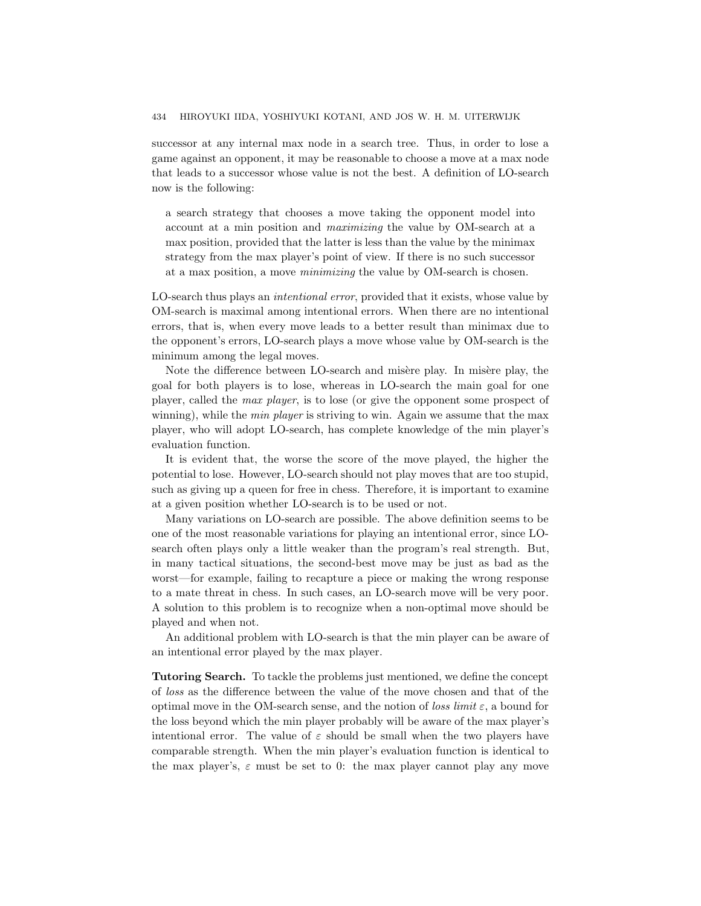successor at any internal max node in a search tree. Thus, in order to lose a game against an opponent, it may be reasonable to choose a move at a max node that leads to a successor whose value is not the best. A definition of LO-search now is the following:

a search strategy that chooses a move taking the opponent model into account at a min position and *maximizing* the value by OM-search at a max position, provided that the latter is less than the value by the minimax strategy from the max player's point of view. If there is no such successor at a max position, a move *minimizing* the value by OM-search is chosen.

LO-search thus plays an *intentional error*, provided that it exists, whose value by OM-search is maximal among intentional errors. When there are no intentional errors, that is, when every move leads to a better result than minimax due to the opponent's errors, LO-search plays a move whose value by OM-search is the minimum among the legal moves.

Note the difference between LO-search and misère play. In misère play, the goal for both players is to lose, whereas in LO-search the main goal for one player, called the *max player*, is to lose (or give the opponent some prospect of winning), while the *min player* is striving to win. Again we assume that the max player, who will adopt LO-search, has complete knowledge of the min player's evaluation function.

It is evident that, the worse the score of the move played, the higher the potential to lose. However, LO-search should not play moves that are too stupid, such as giving up a queen for free in chess. Therefore, it is important to examine at a given position whether LO-search is to be used or not.

Many variations on LO-search are possible. The above definition seems to be one of the most reasonable variations for playing an intentional error, since LOsearch often plays only a little weaker than the program's real strength. But, in many tactical situations, the second-best move may be just as bad as the worst—for example, failing to recapture a piece or making the wrong response to a mate threat in chess. In such cases, an LO-search move will be very poor. A solution to this problem is to recognize when a non-optimal move should be played and when not.

An additional problem with LO-search is that the min player can be aware of an intentional error played by the max player.

**Tutoring Search.** To tackle the problems just mentioned, we define the concept of *loss* as the difference between the value of the move chosen and that of the optimal move in the OM-search sense, and the notion of *loss limit*  $\varepsilon$ , a bound for the loss beyond which the min player probably will be aware of the max player's intentional error. The value of  $\varepsilon$  should be small when the two players have comparable strength. When the min player's evaluation function is identical to the max player's,  $\varepsilon$  must be set to 0: the max player cannot play any move